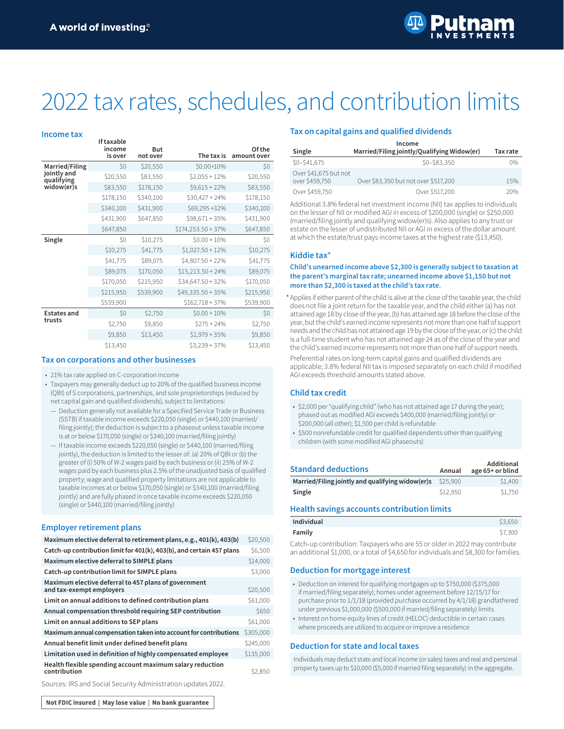**If taxable** 



# 2022 tax rates, schedules, and contribution limits

#### **Income tax**

|                           | ιι ιαλαυισ<br>income | <b>But</b> |                      | Of the      |
|---------------------------|----------------------|------------|----------------------|-------------|
|                           | is over              | not over   | The tax is           | amount over |
| <b>Married/Filing</b>     | \$0                  | \$20,550   | \$0.00+10%           | \$O         |
| jointly and<br>qualifying | \$20,550             | \$83,550   | $$2,055 + 12\%$      | \$20,550    |
| widow(er)s                | \$83,550             | \$178,150  | $$9,615 + 22\%$      | \$83,550    |
|                           | \$178,150            | \$340,100  | $$30,427 + 24\%$     | \$178,150   |
|                           | \$340,100            | \$431,900  | \$69,295 +32%        | \$340,100   |
|                           | \$431,900            | \$647,850  | $$98,671 + 35\%$     | \$431,900   |
|                           | \$647,850            |            | $$174,253.50 + 37\%$ | \$647,850   |
| Single                    | \$0                  | \$10,275   | $$0.00 + 10\%$       | \$0         |
|                           | \$10,275             | \$41,775   | $$1,027.50 + 12\%$   | \$10,275    |
|                           | \$41,775             | \$89,075   | $$4,807.50 + 22\%$   | \$41,775    |
|                           | \$89,075             | \$170,050  | $$15,213.50 + 24\%$  | \$89,075    |
|                           | \$170,050            | \$215,950  | $$34,647.50 + 32\%$  | \$170,050   |
|                           | \$215,950            | \$539,900  | $$49,335.50 + 35\%$  | \$215,950   |
|                           | \$539,900            |            | $$162,718 + 37\%$    | \$539,900   |
| <b>Estates and</b>        | \$0                  | \$2,750    | $$0.00 + 10\%$       | \$0         |
| trusts                    | \$2,750              | \$9,850    | $$275 + 24\%$        | \$2,750     |
|                           | \$9,850              | \$13,450   | $$1,979 + 35\%$      | \$9,850     |
|                           | \$13,450             |            | $$3,239 + 37\%$      | \$13,450    |

## **Tax on corporations and other businesses**

#### • 21% tax rate applied on C-corporation income

- Taxpayers may generally deduct up to 20% of the qualified business income (QBI) of S corporations, partnerships, and sole proprietorships (reduced by net capital gain and qualified dividends), subject to limitations:
- Deduction generally not available for a Specified Service Trade or Business (SSTB) if taxable income exceeds \$220,050 (single) or \$440,100 (married/ filing jointly); the deduction is subject to a phaseout unless taxable income is at or below \$170,050 (single) or \$340,100 (married/filing jointly)
- If taxable income exceeds \$220,050 (single) or \$440,100 (married/filing jointly), the deduction is limited to the lesser of: (a) 20% of QBI or (b) the greater of (i) 50% of W-2 wages paid by each business or (ii) 25% of W-2 wages paid by each business plus 2.5% of the unadjusted basis of qualified property; wage and qualified property limitations are not applicable to taxable incomes at or below \$170,050 (single) or \$340,100 (married/filing jointly) and are fully phased in once taxable income exceeds \$220,050 (single) or \$440,100 (married/filing jointly)

## **Employer retirement plans**

| Maximum elective deferral to retirement plans, e.g., 401(k), 403(b)              | \$20,500  |
|----------------------------------------------------------------------------------|-----------|
| Catch-up contribution limit for 401(k), 403(b), and certain 457 plans            | \$6,500   |
| Maximum elective deferral to SIMPLE plans                                        | \$14,000  |
| Catch-up contribution limit for SIMPLE plans                                     | \$3,000   |
| Maximum elective deferral to 457 plans of government<br>and tax-exempt employers | \$20,500  |
| Limit on annual additions to defined contribution plans                          | \$61,000  |
| Annual compensation threshold requiring SEP contribution                         | \$650     |
| Limit on annual additions to SEP plans                                           | \$61,000  |
| Maximum annual compensation taken into account for contributions                 | \$305,000 |
| Annual benefit limit under defined benefit plans                                 | \$245,000 |
| Limitation used in definition of highly compensated employee                     | \$135,000 |
| Health flexible spending account maximum salary reduction<br>contribution        | \$2.850   |

#### Sources: IRS and Social Security Administration updates 2022.

## **Tax on capital gains and qualified dividends**

| Income                                  |                                             |          |  |  |
|-----------------------------------------|---------------------------------------------|----------|--|--|
| Single                                  | Married/Filing jointly/Qualifying Widow(er) | Tax rate |  |  |
| $$0 - $41,675$                          | $$0 - $83.350$                              | 0%       |  |  |
| Over \$41,675 but not<br>over \$459,750 | Over \$83,350 but not over \$517,200        | 15%      |  |  |
| Over \$459,750                          | Over \$517,200                              | 20%      |  |  |

Additional 3.8% federal net investment income (NII) tax applies to individuals on the lesser of NII or modified AGI in excess of \$200,000 (single) or \$250,000 (married/filing jointly and qualifying widow(er)s). Also applies to any trust or estate on the lesser of undistributed NII or AGI in excess of the dollar amount at which the estate/trust pays income taxes at the highest rate (\$13,450).

#### **Kiddie tax**\*

### **Child's unearned income above \$2,300 is generally subject to taxation at the parent's marginal tax rate; unearned income above \$1,150 but not more than \$2,300 is taxed at the child's tax rate.**

\* Applies if either parent of the child is alive at the close of the taxable year, the child does not file a joint return for the taxable year, and the child either (a) has not attained age 18 by close of the year, (b) has attained age 18 before the close of the year, but the child's earned income represents not more than one half of support needs and the child has not attained age 19 by the close of the year, or (c) the child is a full-time student who has not attained age 24 as of the close of the year and the child's earned income represents not more than one half of support needs.

Preferential rates on long-term capital gains and qualified dividends are applicable; 3.8% federal NII tax is imposed separately on each child if modified AGI exceeds threshold amounts stated above.

## **Child tax credit**

- \$2,000 per "qualifying child" (who has not attained age 17 during the year); phased out as modified AGI exceeds \$400,000 (married/filing jointly) or \$200,000 (all other); \$1,500 per child is refundable
- \$500 nonrefundable credit for qualified dependents other than qualifying children (with some modified AGI phaseouts)

| <b>Standard deductions</b>                                 | Annual   | Additional<br>age 65+ or blind |
|------------------------------------------------------------|----------|--------------------------------|
| Married/Filing jointly and qualifying widow(er)s $$25,900$ |          | \$1,400                        |
| Single                                                     | \$12,950 | \$1,750                        |

#### **Health savings accounts contribution limits**

| Individual | \$3,650 |
|------------|---------|
| Family     | \$7,300 |

Catch-up contribution: Taxpayers who are 55 or older in 2022 may contribute an additional \$1,000, or a total of \$4,650 for individuals and \$8,300 for families.

## **Deduction for mortgage interest**

- Deduction on interest for qualifying mortgages up to \$750,000 (\$375,000 if married/filing separately); homes under agreement before 12/15/17 for purchase prior to 1/1/18 (provided purchase occurred by 4/1/18) grandfathered under previous \$1,000,000 (\$500,000 if married/filing separately) limits
- Interest on home equity lines of credit (HELOC) deductible in certain cases where proceeds are utilized to acquire or improve a residence

#### **Deduction for state and local taxes**

Individuals may deduct state and local income (or sales) taxes and real and personal property taxes up to \$10,000 (\$5,000 if married filing separately) in the aggregate.

Not FDIC insured | May lose value | No bank guarantee